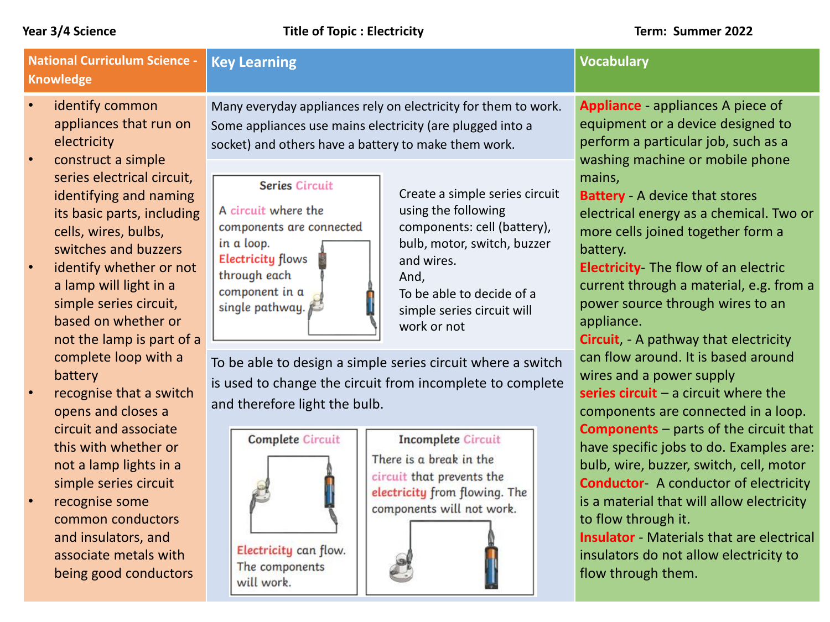| <b>National Curriculum Science -</b><br><b>Knowledge</b> |                                                                                                                                                                                                                                                                                             | <b>Key Learning</b>                                                                                                                                                                 |                                                                                                                                                                                                                     | <b>Vocabulary</b> |                                                                                                                                                                                                                                                                                                                                                                          |
|----------------------------------------------------------|---------------------------------------------------------------------------------------------------------------------------------------------------------------------------------------------------------------------------------------------------------------------------------------------|-------------------------------------------------------------------------------------------------------------------------------------------------------------------------------------|---------------------------------------------------------------------------------------------------------------------------------------------------------------------------------------------------------------------|-------------------|--------------------------------------------------------------------------------------------------------------------------------------------------------------------------------------------------------------------------------------------------------------------------------------------------------------------------------------------------------------------------|
|                                                          | identify common<br>appliances that run on<br>electricity                                                                                                                                                                                                                                    | Many everyday appliances rely on electricity for them to work.<br>Some appliances use mains electricity (are plugged into a<br>socket) and others have a battery to make them work. |                                                                                                                                                                                                                     |                   | Appliance - appliances A piece of<br>equipment or a device designed to<br>perform a particular job, such as a<br>washing machine or mobile phone                                                                                                                                                                                                                         |
|                                                          | construct a simple<br>series electrical circuit,<br>identifying and naming<br>its basic parts, including<br>cells, wires, bulbs,<br>switches and buzzers<br>identify whether or not<br>a lamp will light in a<br>simple series circuit,<br>based on whether or<br>not the lamp is part of a | <b>Series Circuit</b><br>A circuit where the<br>components are connected<br>in a loop.<br><b>Electricity flows</b><br>through each<br>component in a<br>single pathway.             | Create a simple series circuit<br>using the following<br>components: cell (battery),<br>bulb, motor, switch, buzzer<br>and wires.<br>And,<br>To be able to decide of a<br>simple series circuit will<br>work or not |                   | mains,<br><b>Battery</b> - A device that stores<br>electrical energy as a chemical. Two or<br>more cells joined together form a<br>battery.<br><b>Electricity</b> The flow of an electric<br>current through a material, e.g. from a<br>power source through wires to an<br>appliance.<br><b>Circuit</b> , - A pathway that electricity                                  |
|                                                          | complete loop with a<br>battery<br>recognise that a switch<br>opens and closes a                                                                                                                                                                                                            | To be able to design a simple series circuit where a switch<br>is used to change the circuit from incomplete to complete<br>and therefore light the bulb.                           |                                                                                                                                                                                                                     |                   | can flow around. It is based around<br>wires and a power supply<br>series $circuit - a circuit where the$<br>components are connected in a loop.                                                                                                                                                                                                                         |
|                                                          | circuit and associate<br>this with whether or<br>not a lamp lights in a<br>simple series circuit<br>recognise some<br>common conductors<br>and insulators, and<br>associate metals with<br>being good conductors                                                                            | <b>Complete Circuit</b><br>Electricity can flow.<br>The components<br>will work.                                                                                                    | <b>Incomplete Circuit</b><br>There is a break in the<br>circuit that prevents the<br>electricity from flowing. The<br>components will not work.                                                                     |                   | <b>Components</b> – parts of the circuit that<br>have specific jobs to do. Examples are:<br>bulb, wire, buzzer, switch, cell, motor<br><b>Conductor</b> A conductor of electricity<br>is a material that will allow electricity<br>to flow through it.<br><b>Insulator</b> Materials that are electrical<br>insulators do not allow electricity to<br>flow through them. |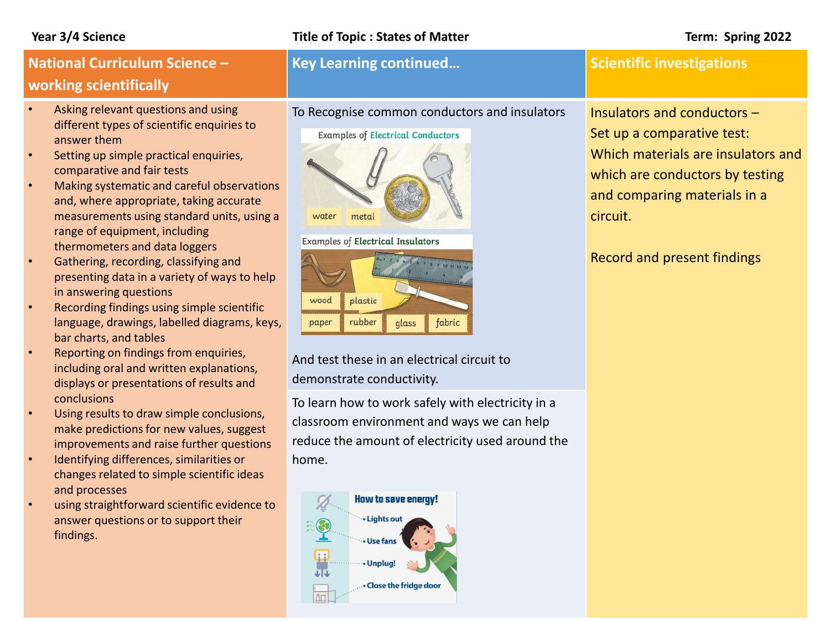### **Year 3/4 Science Title of Topic : States of Matter Term: Spring 2022**

# **National Curriculum Science – working scientifically**

- Asking relevant questions and using different types of scientific enquiries to answer them
- Setting up simple practical enquiries, comparative and fair tests
- Making systematic and careful observations and, where appropriate, taking accurate measurements using standard units, using a range of equipment, including thermometers and data loggers
- Gathering, recording, classifying and presenting data in a variety of ways to help in answering questions
- Recording findings using simple scientific language, drawings, labelled diagrams, keys, bar charts, and tables
- Reporting on findings from enquiries, including oral and written explanations, displays or presentations of results and conclusions
- Using results to draw simple conclusions, make predictions for new values, suggest improvements and raise further questions
- Identifying differences, similarities or changes related to simple scientific ideas and processes
- using straightforward scientific evidence to answer questions or to support their findings.

To Recognise common conductors and insulators

### **Examples of Electrical Conductors**

# water metal

**Examples of Electrical Insulators** 



And test these in an electrical circuit to demonstrate conductivity.

To learn how to work safely with electricity in a classroom environment and ways we can help reduce the amount of electricity used around the home.



### **Key Learning continued... CONSIDER SCIENTIFIC Investigations**

Insulators and conductors – Set up a comparative test: Which materials are insulators and which are conductors by testing and comparing materials in a circuit.

Record and present findings